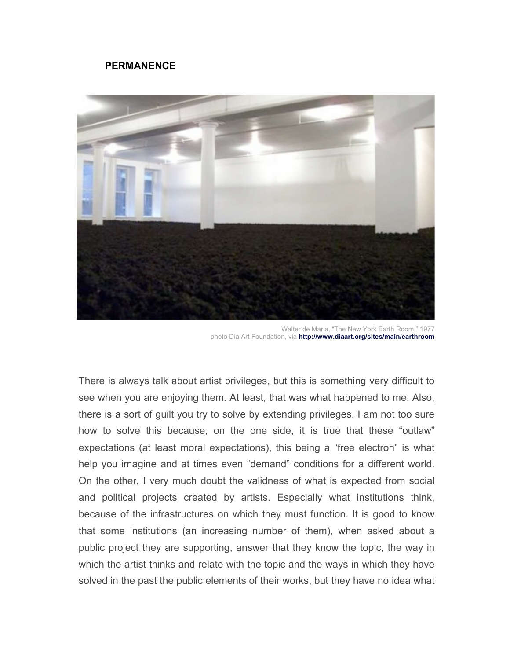## **PERMANENCE**



Walter de Maria, "The New York Earth Room," 1977 photo Dia Art Foundation, via **http://www.diaart.org/sites/main/earthroom**

There is always talk about artist privileges, but this is something very difficult to see when you are enjoying them. At least, that was what happened to me. Also, there is a sort of guilt you try to solve by extending privileges. I am not too sure how to solve this because, on the one side, it is true that these "outlaw" expectations (at least moral expectations), this being a "free electron" is what help you imagine and at times even "demand" conditions for a different world. On the other, I very much doubt the validness of what is expected from social and political projects created by artists. Especially what institutions think, because of the infrastructures on which they must function. It is good to know that some institutions (an increasing number of them), when asked about a public project they are supporting, answer that they know the topic, the way in which the artist thinks and relate with the topic and the ways in which they have solved in the past the public elements of their works, but they have no idea what